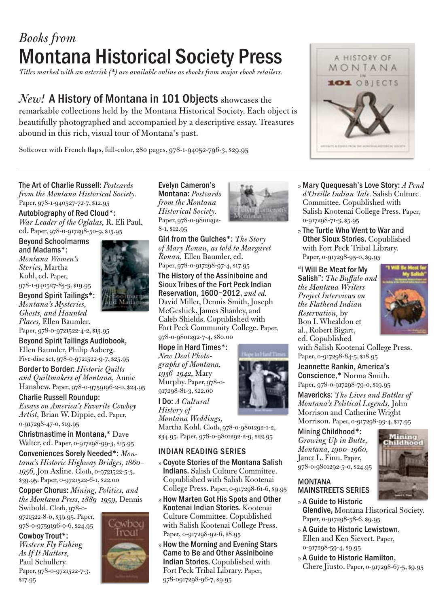# *Books from*  Montana Historical Society Press

*Titles marked with an asterisk (\*) are available online as ebooks from major ebook retailers.*

## *New!* A History of Montana in 101 Objects showcases the

remarkable collections held by the Montana Historical Society. Each object is beautifully photographed and accompanied by a descriptive essay. Treasures abound in this rich, visual tour of Montana's past.

Softcover with French flaps, full-color, 280 pages, 978-1-94052-796-3, \$29.95



The Art of Charlie Russell: *Postcards* 

*from the Montana Historical Society.* Paper, 978-1-940527-72-7, \$12.95 Autobiography of Red Cloud\*:

*War Leader of the Oglalas,* R. Eli Paul, ed. Paper, 978-0-917298-50-9, \$15.95

Beyond Schoolmarms and Madams\*: *Montana Women's Stories,* Martha Kohl, ed. Paper, 978-1-940527-83-3, \$19.95

Beyond Spirit Tailings\*: *Montana's Mysteries, Ghosts, and Haunted Places,* Ellen Baumler.

Paper, 978-0-9721522-4-2, \$13.95 Beyond Spirit Tailings Audiobook, Ellen Baumler, Philip Aaberg.

Five-disc set, 978-0-9721522-9-7, \$25.95 Border to Border: *Historic Quilts and Quiltmakers of Montana,* Annie Hanshew. Paper, 978-0-9759196-2-0, \$24.95

Charlie Russell Roundup:

*Essays on America's Favorite Cowboy Artist,* Brian W. Dippie, ed. Paper, 0-917298-47-0, \$19.95

Christmastime in Montana,\* Dave Walter, ed. Paper, 0-917298-99-3, \$15.95

Conveniences Sorely Needed\*: *Montana's Historic Highway Bridges, 1860– 1956,* Jon Axline. Cloth, 0-9721522-5-3, \$39.95. Paper, 0-9721522-6-1, \$22.00

Copper Chorus: *Mining, Politics, and the Montana Press, 1889–1959,* Dennis

> owboy Trout

Swibold. Cloth, 978-0- 9721522-8-0, \$39.95. Paper, 978-0-9759196-0-6, \$24.95

Cowboy Trout\*: *Western Fly Fishing As If It Matters,* Paul Schullery. Paper, 978-0-9721522-7-3, \$17.95



Evelyn Cameron's Montana: *Postcards from the Montana Historical Society.* Paper, 978-0-9801292- 8-1, \$12.95



Girl from the Gulches\*: *The Story of Mary Ronan, as told to Margaret Ronan,* Ellen Baumler, ed. Paper, 978-0-917298-97-4, \$17.95

The History of the Assiniboine and Sioux Tribes of the Fort Peck Indian Reservation, 1600–2012, *2nd ed.* David Miller, Dennis Smith, Joseph McGeshick, James Shanley, and Caleb Shields. Copublished with Fort Peck Community College. Paper, 978-0-9801292-7-4, \$80.00

Hope in Hard Times\*:<br>New Deal Photo-*New Deal Photo- graphs of Montana, 1936–1942,* Mary Murphy. Paper, 978-0- 917298-81-3, \$22.00

I Do: *A Cultural History of Montana Weddings,* 



Martha Kohl. Cloth, 978-0-9801292-1-2, \$34.95. Paper, 978-0-9801292-2-9, \$22.95

### INDIAN READING SERIES

- » Coyote Stories of the Montana Salish Indians. Salish Culture Committee. Copublished with Salish Kootenai College Press. Paper, 0-917298-61-6, \$9.95
- » How Marten Got His Spots and Other Kootenai Indian Stories. Kootenai Culture Committee. Copublished with Salish Kootenai College Press. Paper, 0-917298-92-6, \$8.95
- » How the Morning and Evening Stars Came to Be and Other Assiniboine Indian Stories. Copublished with Fort Peck Tribal Library. Paper, 978-0917298-96-7, \$9.95



» Mary Quequesah's Love Story: *A Pend* 

» The Turtle Who Went to War and Other Sioux Stories. Copublished with Fort Peck Tribal Library. Paper, 0-917298-95-0, \$9.95

"I Will Be Meat for My Salish": *The Buffalo and the Montana Writers Project Interviews on the Flathead Indian Reservation,* by Bon I. Whealdon et al., Robert Bigart, ed. Copublished



with Salish Kootenai College Press. Paper, 0-917298-84-5, \$18.95 Jeannette Rankin, America's

Conscience,\* Norma Smith. Paper, 978-0-917298-79-0, \$19.95 Mavericks: *The Lives and Battles of Montana's Political Legends,* John Morrison and Catherine Wright Morrison. Paper, 0-917298-93-4, \$17.95

Mining Childhood\*: *Growing Up in Butte, Montana, 1900–1960,* Janet L. Finn. Paper, 978-0-9801292-5-0, \$24.95



### MONTANA MAINSTREETS SERIES

» A Guide to Historic Glendive, Montana Historical Society. Paper, 0-917298-58-6, \$9.95

- » A Guide to Historic Lewistown, Ellen and Ken Sievert. Paper, 0-917298-59-4, \$9.95
- » A Guide to Historic Hamilton, Chere Jiusto. Paper, 0-917298-67-5, \$9.95